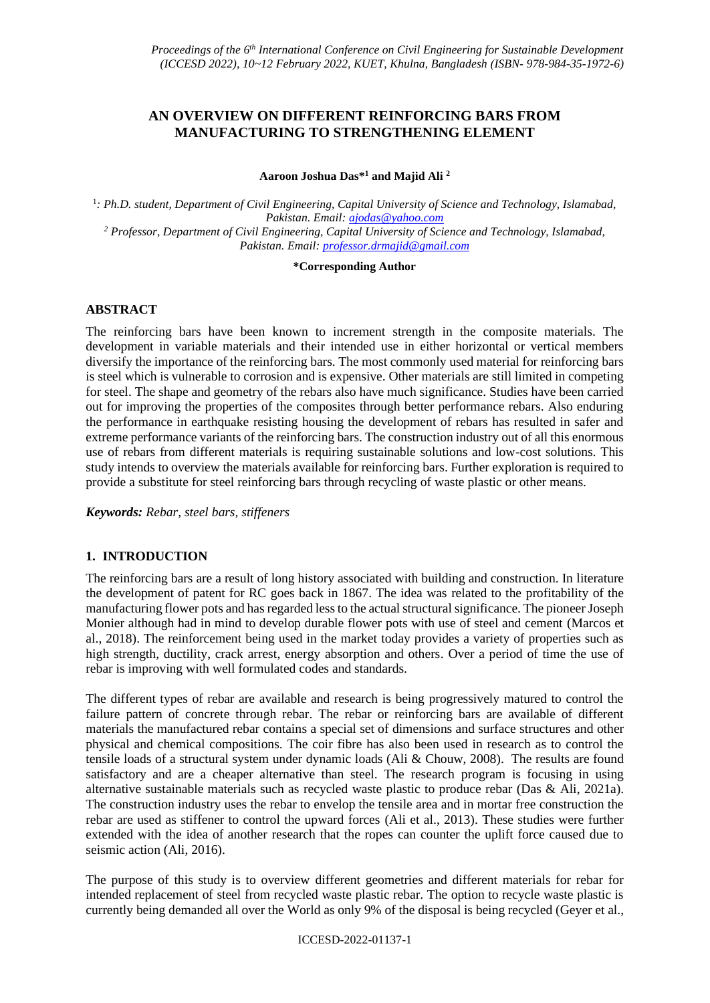# **AN OVERVIEW ON DIFFERENT REINFORCING BARS FROM MANUFACTURING TO STRENGTHENING ELEMENT**

**Aaroon Joshua Das\* <sup>1</sup> and Majid Ali <sup>2</sup>**

<sup>1</sup>: Ph.D. student, Department of Civil Engineering, Capital University of Science and Technology, Islamabad, *Pakistan. Email: [ajodas@yahoo.com](mailto:ajodas@yahoo.com)  <sup>2</sup> Professor, Department of Civil Engineering, Capital University of Science and Technology, Islamabad, Pakistan. Email: [professor.drmajid@gmail.com](mailto:professor.drmajid@gmail.com)* 

#### **\*Corresponding Author**

## **ABSTRACT**

The reinforcing bars have been known to increment strength in the composite materials. The development in variable materials and their intended use in either horizontal or vertical members diversify the importance of the reinforcing bars. The most commonly used material for reinforcing bars is steel which is vulnerable to corrosion and is expensive. Other materials are still limited in competing for steel. The shape and geometry of the rebars also have much significance. Studies have been carried out for improving the properties of the composites through better performance rebars. Also enduring the performance in earthquake resisting housing the development of rebars has resulted in safer and extreme performance variants of the reinforcing bars. The construction industry out of all this enormous use of rebars from different materials is requiring sustainable solutions and low-cost solutions. This study intends to overview the materials available for reinforcing bars. Further exploration is required to provide a substitute for steel reinforcing bars through recycling of waste plastic or other means.

*Keywords: Rebar, steel bars, stiffeners*

## **1. INTRODUCTION**

The reinforcing bars are a result of long history associated with building and construction. In literature the development of patent for RC goes back in 1867. The idea was related to the profitability of the manufacturing flower pots and has regarded less to the actual structural significance. The pioneer Joseph Monier although had in mind to develop durable flower pots with use of steel and cement (Marcos et al., 2018). The reinforcement being used in the market today provides a variety of properties such as high strength, ductility, crack arrest, energy absorption and others. Over a period of time the use of rebar is improving with well formulated codes and standards.

The different types of rebar are available and research is being progressively matured to control the failure pattern of concrete through rebar. The rebar or reinforcing bars are available of different materials the manufactured rebar contains a special set of dimensions and surface structures and other physical and chemical compositions. The coir fibre has also been used in research as to control the tensile loads of a structural system under dynamic loads (Ali & Chouw, 2008). The results are found satisfactory and are a cheaper alternative than steel. The research program is focusing in using alternative sustainable materials such as recycled waste plastic to produce rebar (Das & Ali, 2021a). The construction industry uses the rebar to envelop the tensile area and in mortar free construction the rebar are used as stiffener to control the upward forces (Ali et al., 2013). These studies were further extended with the idea of another research that the ropes can counter the uplift force caused due to seismic action (Ali, 2016).

The purpose of this study is to overview different geometries and different materials for rebar for intended replacement of steel from recycled waste plastic rebar. The option to recycle waste plastic is currently being demanded all over the World as only 9% of the disposal is being recycled (Geyer et al.,

#### ICCESD-2022-01137-1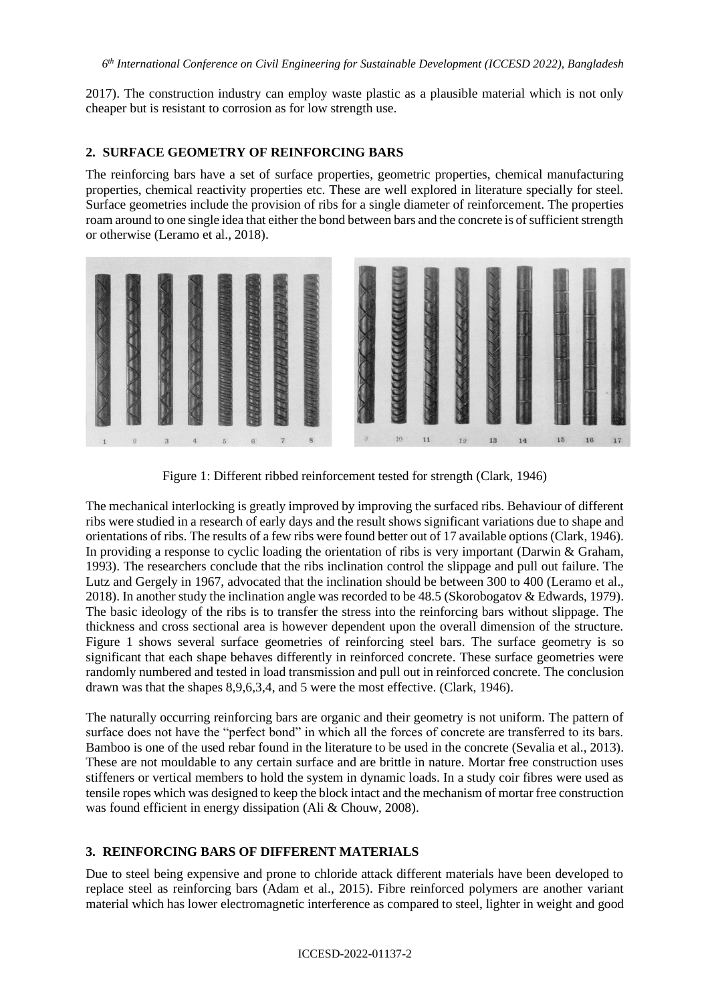2017). The construction industry can employ waste plastic as a plausible material which is not only cheaper but is resistant to corrosion as for low strength use.

### **2. SURFACE GEOMETRY OF REINFORCING BARS**

The reinforcing bars have a set of surface properties, geometric properties, chemical manufacturing properties, chemical reactivity properties etc. These are well explored in literature specially for steel. Surface geometries include the provision of ribs for a single diameter of reinforcement. The properties roam around to one single idea that either the bond between bars and the concrete is of sufficient strength or otherwise (Leramo et al., 2018).



Figure 1: Different ribbed reinforcement tested for strength (Clark, 1946)

The mechanical interlocking is greatly improved by improving the surfaced ribs. Behaviour of different ribs were studied in a research of early days and the result shows significant variations due to shape and orientations of ribs. The results of a few ribs were found better out of 17 available options (Clark, 1946). In providing a response to cyclic loading the orientation of ribs is very important (Darwin & Graham, 1993). The researchers conclude that the ribs inclination control the slippage and pull out failure. The Lutz and Gergely in 1967, advocated that the inclination should be between 300 to 400 (Leramo et al., 2018). In another study the inclination angle was recorded to be 48.5 (Skorobogatov & Edwards, 1979). The basic ideology of the ribs is to transfer the stress into the reinforcing bars without slippage. The thickness and cross sectional area is however dependent upon the overall dimension of the structure. Figure 1 shows several surface geometries of reinforcing steel bars. The surface geometry is so significant that each shape behaves differently in reinforced concrete. These surface geometries were randomly numbered and tested in load transmission and pull out in reinforced concrete. The conclusion drawn was that the shapes 8,9,6,3,4, and 5 were the most effective. (Clark, 1946).

The naturally occurring reinforcing bars are organic and their geometry is not uniform. The pattern of surface does not have the "perfect bond" in which all the forces of concrete are transferred to its bars. Bamboo is one of the used rebar found in the literature to be used in the concrete (Sevalia et al., 2013). These are not mouldable to any certain surface and are brittle in nature. Mortar free construction uses stiffeners or vertical members to hold the system in dynamic loads. In a study coir fibres were used as tensile ropes which was designed to keep the block intact and the mechanism of mortar free construction was found efficient in energy dissipation (Ali & Chouw, 2008).

## **3. REINFORCING BARS OF DIFFERENT MATERIALS**

Due to steel being expensive and prone to chloride attack different materials have been developed to replace steel as reinforcing bars (Adam et al., 2015). Fibre reinforced polymers are another variant material which has lower electromagnetic interference as compared to steel, lighter in weight and good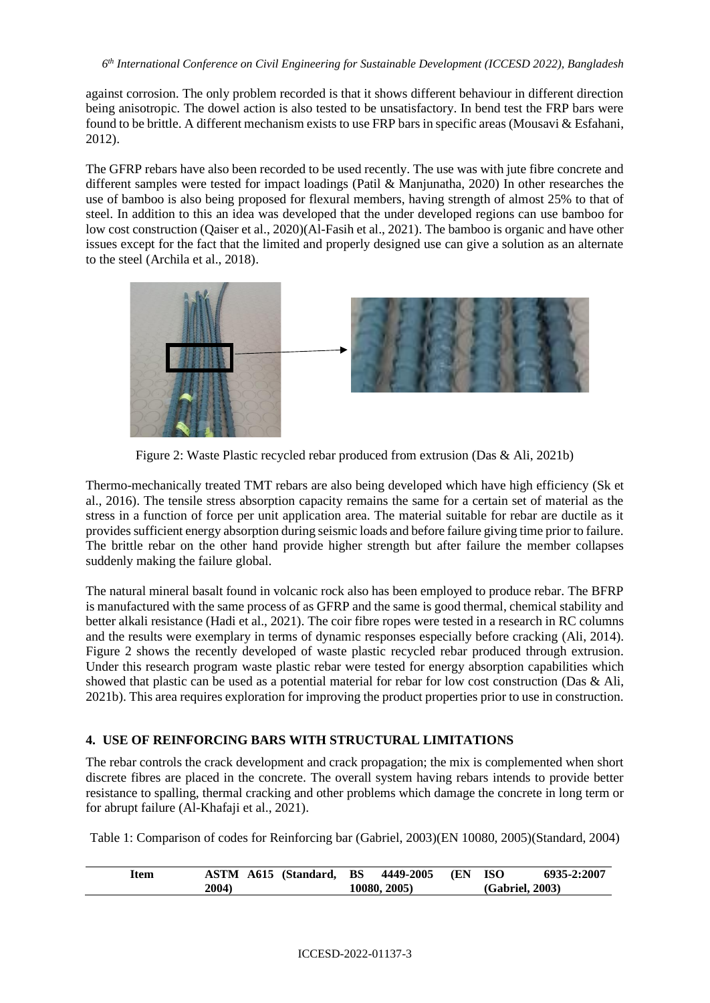against corrosion. The only problem recorded is that it shows different behaviour in different direction being anisotropic. The dowel action is also tested to be unsatisfactory. In bend test the FRP bars were found to be brittle. A different mechanism exists to use FRP bars in specific areas (Mousavi & Esfahani, 2012).

The GFRP rebars have also been recorded to be used recently. The use was with jute fibre concrete and different samples were tested for impact loadings (Patil & Manjunatha, 2020) In other researches the use of bamboo is also being proposed for flexural members, having strength of almost 25% to that of steel. In addition to this an idea was developed that the under developed regions can use bamboo for low cost construction (Qaiser et al., 2020)(Al-Fasih et al., 2021). The bamboo is organic and have other issues except for the fact that the limited and properly designed use can give a solution as an alternate to the steel (Archila et al., 2018).



Figure 2: Waste Plastic recycled rebar produced from extrusion (Das & Ali, 2021b)

Thermo-mechanically treated TMT rebars are also being developed which have high efficiency (Sk et al., 2016). The tensile stress absorption capacity remains the same for a certain set of material as the stress in a function of force per unit application area. The material suitable for rebar are ductile as it provides sufficient energy absorption during seismic loads and before failure giving time prior to failure. The brittle rebar on the other hand provide higher strength but after failure the member collapses suddenly making the failure global.

The natural mineral basalt found in volcanic rock also has been employed to produce rebar. The BFRP is manufactured with the same process of as GFRP and the same is good thermal, chemical stability and better alkali resistance (Hadi et al., 2021). The coir fibre ropes were tested in a research in RC columns and the results were exemplary in terms of dynamic responses especially before cracking (Ali, 2014). Figure 2 shows the recently developed of waste plastic recycled rebar produced through extrusion. Under this research program waste plastic rebar were tested for energy absorption capabilities which showed that plastic can be used as a potential material for rebar for low cost construction (Das & Ali, 2021b). This area requires exploration for improving the product properties prior to use in construction.

## **4. USE OF REINFORCING BARS WITH STRUCTURAL LIMITATIONS**

The rebar controls the crack development and crack propagation; the mix is complemented when short discrete fibres are placed in the concrete. The overall system having rebars intends to provide better resistance to spalling, thermal cracking and other problems which damage the concrete in long term or for abrupt failure (Al-Khafaji et al., 2021).

Table 1: Comparison of codes for Reinforcing bar (Gabriel, 2003)(EN 10080, 2005)(Standard, 2004)

| <b>Item</b> | <b>ASTM A615 (Standard, BS 4449-2005 (EN ISO)</b> |              | 6935-2:2007     |
|-------------|---------------------------------------------------|--------------|-----------------|
|             | 2004)                                             | 10080, 2005) | (Gabriel, 2003) |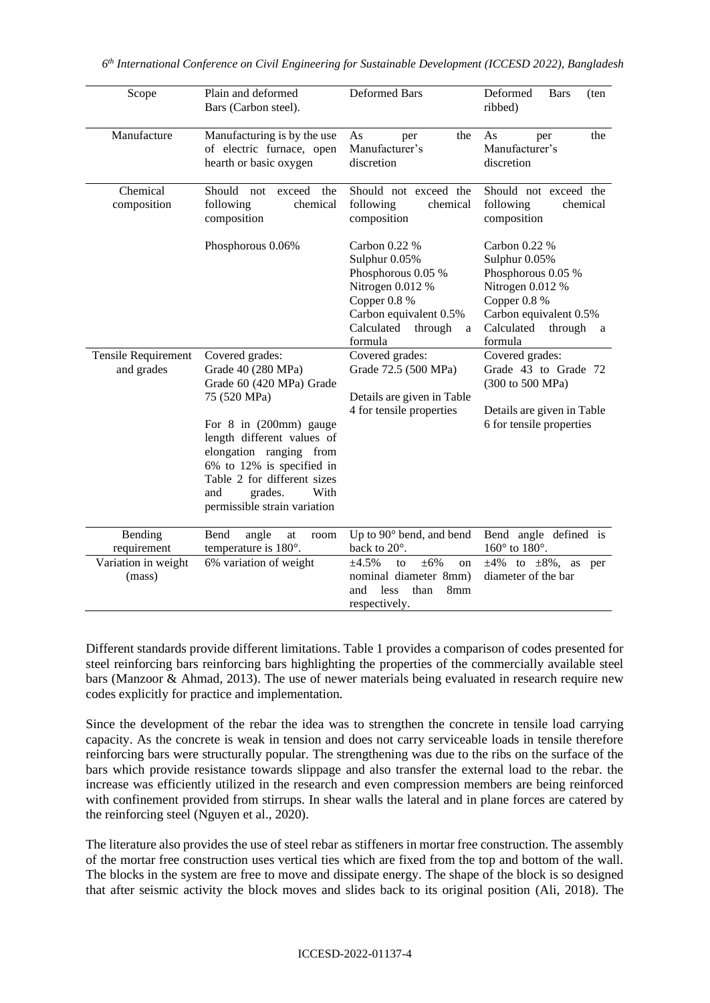| Scope                                    | Plain and deformed<br>Bars (Carbon steel).                                                                                                                                                                                                                                                 | Deformed Bars                                                                                                                                               | Deformed<br><b>Bars</b><br>(ten<br>ribbed)                                                                                                                  |
|------------------------------------------|--------------------------------------------------------------------------------------------------------------------------------------------------------------------------------------------------------------------------------------------------------------------------------------------|-------------------------------------------------------------------------------------------------------------------------------------------------------------|-------------------------------------------------------------------------------------------------------------------------------------------------------------|
| Manufacture                              | Manufacturing is by the use<br>of electric furnace, open<br>hearth or basic oxygen                                                                                                                                                                                                         | As<br>the<br>per<br>Manufacturer's<br>discretion                                                                                                            | As<br>the<br>per<br>Manufacturer's<br>discretion                                                                                                            |
| Chemical<br>composition                  | Should not<br>exceed<br>the<br>following<br>chemical<br>composition                                                                                                                                                                                                                        | Should not exceed the<br>following<br>chemical<br>composition                                                                                               | Should not exceed the<br>following<br>chemical<br>composition                                                                                               |
|                                          | Phosphorous 0.06%                                                                                                                                                                                                                                                                          | Carbon 0.22 %<br>Sulphur 0.05%<br>Phosphorous 0.05 %<br>Nitrogen 0.012 %<br>Copper 0.8 %<br>Carbon equivalent 0.5%<br>Calculated<br>through<br>a<br>formula | Carbon 0.22 %<br>Sulphur 0.05%<br>Phosphorous 0.05 %<br>Nitrogen 0.012 %<br>Copper 0.8 %<br>Carbon equivalent 0.5%<br>Calculated<br>through<br>a<br>formula |
| <b>Tensile Requirement</b><br>and grades | Covered grades:<br>Grade 40 (280 MPa)<br>Grade 60 (420 MPa) Grade<br>75 (520 MPa)<br>For 8 in (200mm) gauge<br>length different values of<br>elongation ranging from<br>6% to 12% is specified in<br>Table 2 for different sizes<br>grades.<br>With<br>and<br>permissible strain variation | Covered grades:<br>Grade 72.5 (500 MPa)<br>Details are given in Table<br>4 for tensile properties                                                           | Covered grades:<br>Grade 43 to Grade 72<br>(300 to 500 MPa)<br>Details are given in Table<br>6 for tensile properties                                       |
| Bending<br>requirement                   | Bend<br>angle<br>at<br>room<br>temperature is 180°.                                                                                                                                                                                                                                        | Up to 90° bend, and bend<br>back to 20°.                                                                                                                    | Bend angle defined is<br>$160^\circ$ to $180^\circ$ .                                                                                                       |
| Variation in weight<br>(mass)            | 6% variation of weight                                                                                                                                                                                                                                                                     | $\pm 6\%$<br>±4.5%<br>to<br>on<br>nominal diameter 8mm)<br>less<br>than<br>8mm<br>and<br>respectively.                                                      | $\pm 4\%$ to $\pm 8\%$ , as per<br>diameter of the bar                                                                                                      |

Different standards provide different limitations. Table 1 provides a comparison of codes presented for steel reinforcing bars reinforcing bars highlighting the properties of the commercially available steel bars (Manzoor & Ahmad, 2013). The use of newer materials being evaluated in research require new codes explicitly for practice and implementation.

Since the development of the rebar the idea was to strengthen the concrete in tensile load carrying capacity. As the concrete is weak in tension and does not carry serviceable loads in tensile therefore reinforcing bars were structurally popular. The strengthening was due to the ribs on the surface of the bars which provide resistance towards slippage and also transfer the external load to the rebar. the increase was efficiently utilized in the research and even compression members are being reinforced with confinement provided from stirrups. In shear walls the lateral and in plane forces are catered by the reinforcing steel (Nguyen et al., 2020).

The literature also provides the use of steel rebar as stiffeners in mortar free construction. The assembly of the mortar free construction uses vertical ties which are fixed from the top and bottom of the wall. The blocks in the system are free to move and dissipate energy. The shape of the block is so designed that after seismic activity the block moves and slides back to its original position (Ali, 2018). The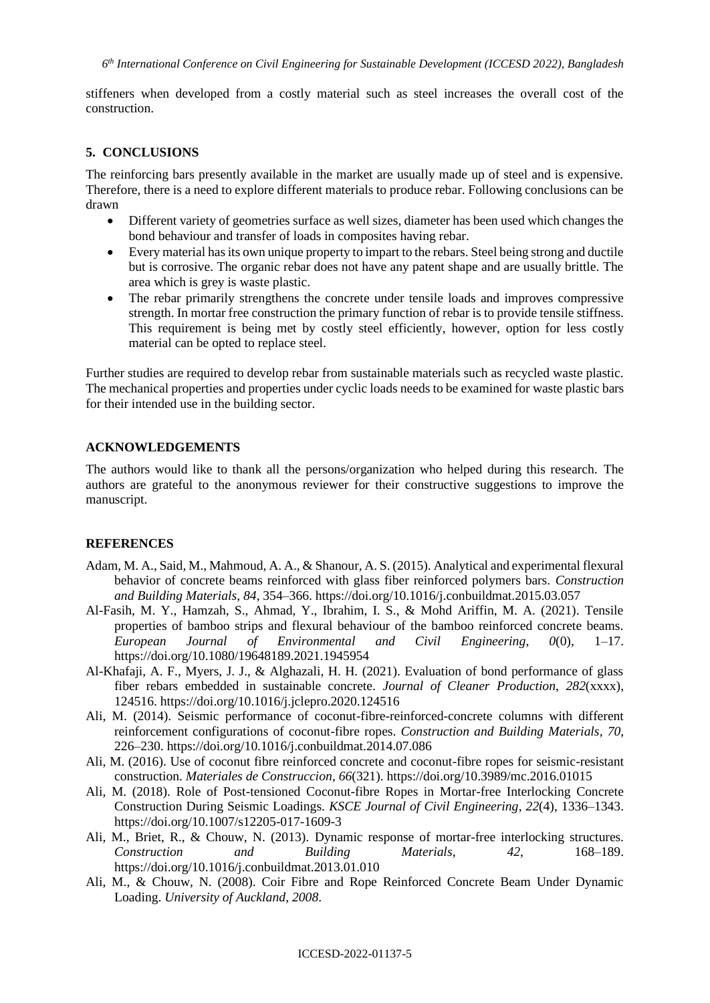stiffeners when developed from a costly material such as steel increases the overall cost of the construction.

#### **5. CONCLUSIONS**

The reinforcing bars presently available in the market are usually made up of steel and is expensive. Therefore, there is a need to explore different materials to produce rebar. Following conclusions can be drawn

- Different variety of geometries surface as well sizes, diameter has been used which changes the bond behaviour and transfer of loads in composites having rebar.
- Every material has its own unique property to impart to the rebars. Steel being strong and ductile but is corrosive. The organic rebar does not have any patent shape and are usually brittle. The area which is grey is waste plastic.
- The rebar primarily strengthens the concrete under tensile loads and improves compressive strength. In mortar free construction the primary function of rebar is to provide tensile stiffness. This requirement is being met by costly steel efficiently, however, option for less costly material can be opted to replace steel.

Further studies are required to develop rebar from sustainable materials such as recycled waste plastic. The mechanical properties and properties under cyclic loads needs to be examined for waste plastic bars for their intended use in the building sector.

#### **ACKNOWLEDGEMENTS**

The authors would like to thank all the persons/organization who helped during this research. The authors are grateful to the anonymous reviewer for their constructive suggestions to improve the manuscript.

#### **REFERENCES**

- Adam, M. A., Said, M., Mahmoud, A. A., & Shanour, A. S. (2015). Analytical and experimental flexural behavior of concrete beams reinforced with glass fiber reinforced polymers bars. *Construction and Building Materials*, *84*, 354–366. https://doi.org/10.1016/j.conbuildmat.2015.03.057
- Al-Fasih, M. Y., Hamzah, S., Ahmad, Y., Ibrahim, I. S., & Mohd Ariffin, M. A. (2021). Tensile properties of bamboo strips and flexural behaviour of the bamboo reinforced concrete beams. *European Journal of Environmental and Civil Engineering*, *0*(0), 1–17. https://doi.org/10.1080/19648189.2021.1945954
- Al-Khafaji, A. F., Myers, J. J., & Alghazali, H. H. (2021). Evaluation of bond performance of glass fiber rebars embedded in sustainable concrete. *Journal of Cleaner Production*, *282*(xxxx), 124516. https://doi.org/10.1016/j.jclepro.2020.124516
- Ali, M. (2014). Seismic performance of coconut-fibre-reinforced-concrete columns with different reinforcement configurations of coconut-fibre ropes. *Construction and Building Materials*, *70*, 226–230. https://doi.org/10.1016/j.conbuildmat.2014.07.086
- Ali, M. (2016). Use of coconut fibre reinforced concrete and coconut-fibre ropes for seismic-resistant construction. *Materiales de Construccion*, *66*(321). https://doi.org/10.3989/mc.2016.01015
- Ali, M. (2018). Role of Post-tensioned Coconut-fibre Ropes in Mortar-free Interlocking Concrete Construction During Seismic Loadings. *KSCE Journal of Civil Engineering*, *22*(4), 1336–1343. https://doi.org/10.1007/s12205-017-1609-3
- Ali, M., Briet, R., & Chouw, N. (2013). Dynamic response of mortar-free interlocking structures. *Construction and Building Materials*, *42*, 168–189. https://doi.org/10.1016/j.conbuildmat.2013.01.010
- Ali, M., & Chouw, N. (2008). Coir Fibre and Rope Reinforced Concrete Beam Under Dynamic Loading. *University of Auckland*, *2008*.